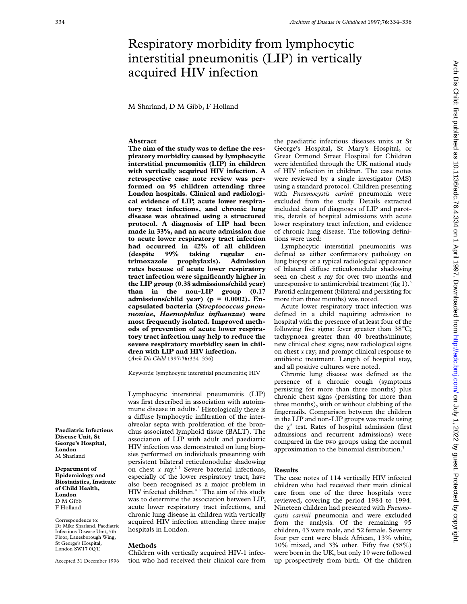# Respiratory morbidity from lymphocytic interstitial pneumonitis (LIP) in vertically acquired HIV infection

M Sharland, D M Gibb, F Holland

## **Abstract**

**The aim of the study was to define the respiratory morbidity caused by lymphocytic interstitial pneumonitis (LIP) in children with vertically acquired HIV infection. A retrospective case note review was performed on 95 children attending three London hospitals. Clinical and radiological evidence of LIP, acute lower respiratory tract infections, and chronic lung disease was obtained using a structured protocol. A diagnosis of LIP had been made in 33%, and an acute admission due to acute lower respiratory tract infection had occurred in 42% of all children (despite 99% taking regular cotrimoxazole prophylaxis). Admission rates because of acute lower respiratory tract infection were significantly higher in the LIP group (0.38 admissions/child year) than in the non-LIP group (0.17 admissions/child year) (p = 0.0002). Encapsulated bacteria (***Streptococcus pneumoniae***,** *Haemophilus influenzae***) were most frequently isolated. Improved methods of prevention of acute lower respiratory tract infection may help to reduce the severe respiratory morbidity seen in children with LIP and HIV infection.** (*Arch Dis Child* 1997;**76:**334–336)

Keywords: lymphocytic interstitial pneumonitis; HIV

Lymphocytic interstitial pneumonitis (LIP) was first described in association with autoimmune disease in adults.<sup>1</sup> Histologically there is a diffuse lymphocytic infiltration of the interalveolar septa with proliferation of the bronchus associated lymphoid tissue (BALT). The association of LIP with adult and paediatric HIV infection was demonstrated on lung biopsies performed on individuals presenting with persistent bilateral reticulonodular shadowing on chest  $x$  ray.<sup>2 3</sup> Severe bacterial infections, especially of the lower respiratory tract, have also been recognised as a major problem in HIV infected children.<sup>45</sup> The aim of this study was to determine the association between LIP, acute lower respiratory tract infections, and chronic lung disease in children with vertically acquired HIV infection attending three major hospitals in London.

#### **Methods**

Children with vertically acquired HIV-1 infection who had received their clinical care from the paediatric infectious diseases units at St George's Hospital, St Mary's Hospital, or Great Ormond Street Hospital for Children were identified through the UK national study of HIV infection in children. The case notes were reviewed by a single investigator (MS) using a standard protocol. Children presenting with *Pneumocystis carinii* pneumonia were excluded from the study. Details extracted included dates of diagnoses of LIP and parotitis, details of hospital admissions with acute lower respiratory tract infection, and evidence of chronic lung disease. The following definitions were used:

Lymphocytic interstitial pneumonitis was defined as either confirmatory pathology on lung biopsy or a typical radiological appearance of bilateral diffuse reticulonodular shadowing seen on chest *x* ray for over two months and unresponsive to antimicrobial treatment (fig 1). $<sup>6</sup>$ </sup> Parotid enlargement (bilateral and persisting for more than three months) was noted.

Acute lower respiratory tract infection was defined in a child requiring admission to hospital with the presence of at least four of the following five signs: fever greater than 38°C; tachypnoea greater than 40 breaths/minute; new clinical chest signs; new radiological signs on chest *x* ray; and prompt clinical response to antibiotic treatment. Length of hospital stay, and all positive cultures were noted.

Chronic lung disease was defined as the presence of a chronic cough (symptoms persisting for more than three months) plus chronic chest signs (persisting for more than three months), with or without clubbing of the fingernails. Comparison between the children in the LIP and non-LIP groups was made using the  $\chi^2$  test. Rates of hospital admission (first admissions and recurrent admissions) were compared in the two groups using the normal approximation to the binomial distribution.<sup>7</sup>

#### **Results**

The case notes of 114 vertically HIV infected children who had received their main clinical care from one of the three hospitals were reviewed, covering the period 1984 to 1994. Nineteen children had presented with *Pneumocystis carinii* pneumonia and were excluded from the analysis. Of the remaining 95 children, 43 were male, and 52 female. Seventy four per cent were black African, 13% white, 10% mixed, and 3% other. Fifty five (58%) were born in the UK, but only 19 were followed up prospectively from birth. Of the children

Arch Dis Child: first published as 10.1136/adc.76.4.334 on 1 April 1997. Downloaded from http://adc.bmj.com/ on July 1, 2022 by guest. Protected by copyright

on July 1, 2022 by guest. Protected by copyright. <http://adc.bmj.com/> Arch Dis Child: first published as 10.1136/adc.76.4.334 on 1 April 1997. Downloaded from

Accepted 31 December 1996

Correspondence to: Dr Mike Sharland, Paediatric Infectious Disease Unit, 5th Floor, Lanesborough Wing, St George's Hospital, London SW17 0QT.

**Paediatric Infectious Disease Unit, St George's Hospital,**

**London** M Sharland **Department of Epidemiology and Biostatistics, Institute of Child Health, London** D M Gibb F Holland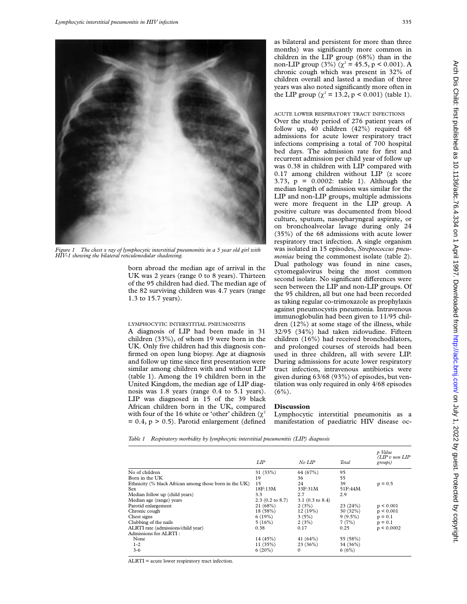

*Figure 1 The chest x ray of lymphocytic interstitial pneumonitis in a 5 year old girl with HIV-1 showing the bilateral reticulonodular shadowing.*

born abroad the median age of arrival in the UK was 2 years (range 0 to 8 years). Thirteen of the 95 children had died. The median age of the 82 surviving children was 4.7 years (range 1.3 to 15.7 years).

### LYMPHOCYTIC INTERSTITIAL PNEUMONITIS

A diagnosis of LIP had been made in 31 children (33%), of whom 19 were born in the UK. Only five children had this diagnosis confirmed on open lung biopsy. Age at diagnosis and follow up time since first presentation were similar among children with and without LIP (table 1). Among the 19 children born in the United Kingdom, the median age of LIP diagnosis was 1.8 years (range 0.4 to 5.1 years). LIP was diagnosed in 15 of the 39 black African children born in the UK, compared with four of the 16 white or 'other' children  $(\chi^2)$  $= 0.4$ ,  $p > 0.5$ ). Parotid enlargement (defined as bilateral and persistent for more than three months) was significantly more common in children in the LIP group (68%) than in the non-LIP group (3%) ( $\chi^2$  = 45.5, p < 0.001). A chronic cough which was present in 32% of children overall and lasted a median of three years was also noted significantly more often in the LIP group ( $\chi^2 = 13.2$ , p < 0.001) (table 1).

# ACUTE LOWER RESPIRATORY TRACT INFECTIONS

Over the study period of 276 patient years of follow up, 40 children (42%) required 68 admissions for acute lower respiratory tract infections comprising a total of 700 hospital bed days. The admission rate for first and recurrent admission per child year of follow up was 0.38 in children with LIP compared with 0.17 among children without LIP (z score 3.73, p = 0.0002: table 1). Although the median length of admission was similar for the LIP and non-LIP groups, multiple admissions were more frequent in the LIP group. A positive culture was documented from blood culture, sputum, nasopharyngeal aspirate, or on bronchoalveolar lavage during only 24 (35%) of the 68 admissions with acute lower respiratory tract infection. A single organism was isolated in 15 episodes, *Streptococcus pneumoniae* being the commonest isolate (table 2). Dual pathology was found in nine cases, cytomegalovirus being the most common second isolate. No significant differences were seen between the LIP and non-LIP groups. Of the 95 children, all but one had been recorded as taking regular co-trimoxazole as prophylaxis against pneumocystis pneumonia. Intravenous immunoglobulin had been given to 11/95 children (12%) at some stage of the illness, while 32/95 (34%) had taken zidovudine. Fifteen children (16%) had received bronchodilators, and prolonged courses of steroids had been used in three children, all with severe LIP. During admissions for acute lower respiratory tract infection, intravenous antibiotics were given during 63/68 (93%) of episodes, but ventilation was only required in only 4/68 episodes  $(6\%)$ .

# **Discussion**

Lymphocytic interstitial pneumonitis as a manifestation of paediatric HIV disease oc-

*Table 1 Respiratory morbidity by lymphocytic interstitial pneumonitis (LIP) diagnosis*

|                                                        | LIP                        | No LIP             | Total      | p Value<br>$(LIP v$ non $LIP$<br>groups) |
|--------------------------------------------------------|----------------------------|--------------------|------------|------------------------------------------|
| No of children                                         | 31 (33%)                   | 64 (67%)           | 95         |                                          |
| Born in the UK                                         | 19                         | 36                 | 55         |                                          |
| Ethnicity (% black African among those born in the UK) | 15                         | 24                 | 39         | $p = 0.5$                                |
| <b>Sex</b>                                             | 18F:13M                    | 33F:31M            | 51F:44M    |                                          |
| Median follow up (child years)                         | 3.3                        | 2.7                | 2.9        |                                          |
| Median age (range) years                               | $2.3(0.2 \text{ to } 8.7)$ | $3.1$ (0.3 to 8.4) |            |                                          |
| Parotid enlargement                                    | 21(68%)                    | 2(3%)              | 23(24%)    | p < 0.001                                |
| Chronic cough                                          | 18 (58%)                   | 12(19%)            | 30(32%)    | p < 0.001                                |
| Chest signs                                            | 6(19%)                     | 3(5%)              | $9(9.5\%)$ | $p = 0.1$                                |
| Clubbing of the nails                                  | 5(16%)                     | 2(3%)              | 7(7%)      | $p = 0.1$                                |
| ALRTI rate (admissions/child year)                     | 0.38                       | 0.17               | 0.25       | p < 0.0002                               |
| Admissions for ALRTI:                                  |                            |                    |            |                                          |
| None                                                   | 14(45%)                    | 41 $(64%)$         | 55 (58%)   |                                          |
| $1 - 2$                                                | 11(35%)                    | 23(36%)            | 34 (36%)   |                                          |
| $3 - 6$                                                | 6(20%)                     | $\Omega$           | 6(6%)      |                                          |

ALRTI = acute lower respiratory tract infection.